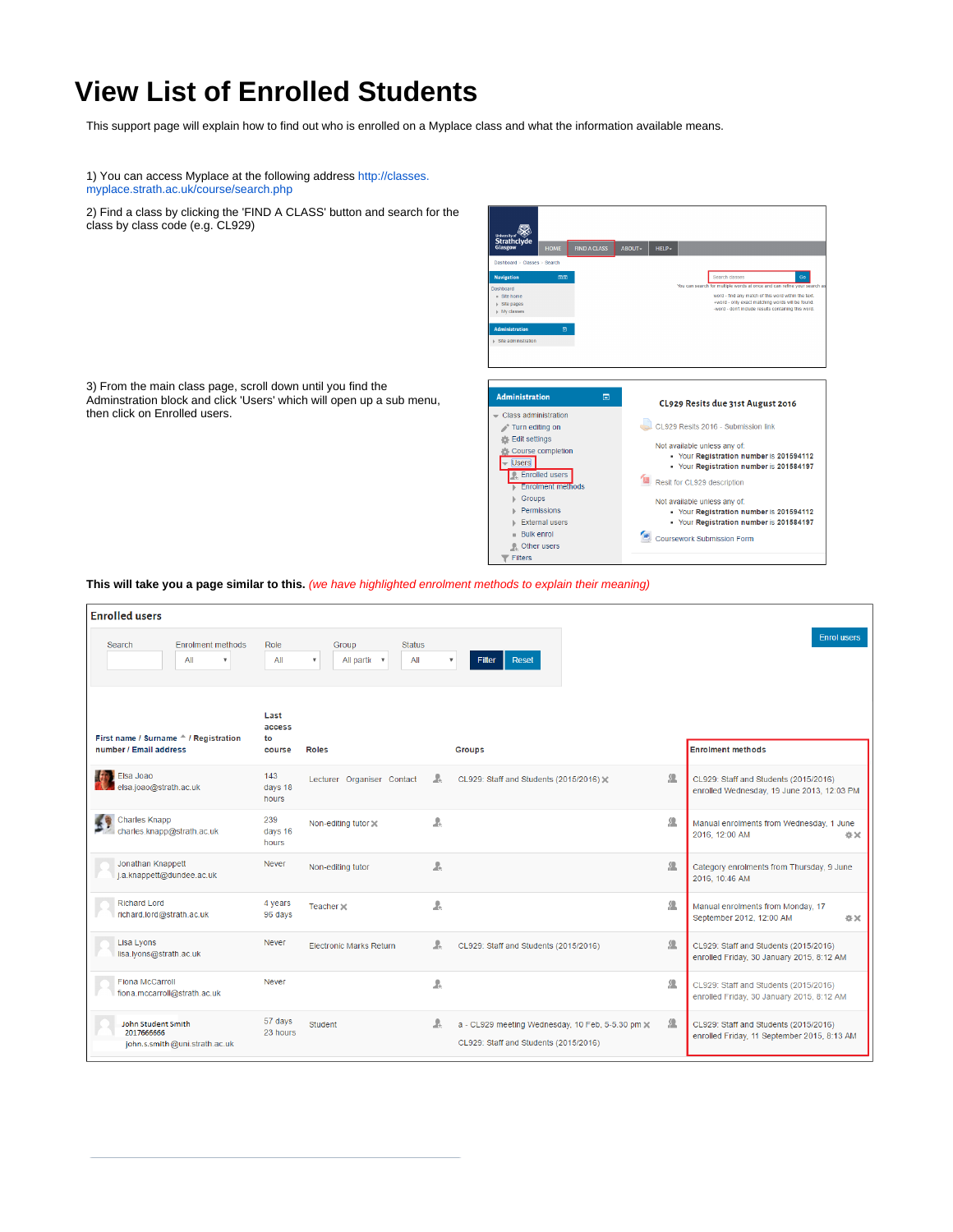## **View List of Enrolled Students**

This support page will explain how to find out who is enrolled on a Myplace class and what the information available means.

1) You can access Myplace at the following address [http://classes.](http://classes.myplace.strath.ac.uk/course/search.php) [myplace.strath.ac.uk/course/search.php](http://classes.myplace.strath.ac.uk/course/search.php)

3) From the main class page, scroll down until you find the Adminstration block and click 'Users' which will open up a sub menu,

then click on Enrolled users.

2) Find a class by clicking the 'FIND A CLASS' button and search for the class by class code (e.g. CL929)



**This will take you a page similar to this.** (we have highlighted enrolment methods to explain their meaning)

| <b>Enrolled</b> users                                                    |                         |                                                               |   |                                                                                           |   |                                                                                      |
|--------------------------------------------------------------------------|-------------------------|---------------------------------------------------------------|---|-------------------------------------------------------------------------------------------|---|--------------------------------------------------------------------------------------|
| <b>Enrolment methods</b><br>Search<br>All<br>$\boldsymbol{\mathrm{v}}$   | Role<br>All             | <b>Status</b><br>Group<br>All partic v<br>All<br>$\mathbf{v}$ |   | Filter<br><b>Reset</b>                                                                    |   | <b>Enrol users</b>                                                                   |
| First name / Surname <sup>A</sup> / Registration                         | Last<br>access<br>to    |                                                               |   |                                                                                           |   |                                                                                      |
| number / Email address                                                   | course                  | <b>Roles</b>                                                  |   | <b>Groups</b>                                                                             |   | <b>Enrolment methods</b>                                                             |
| Elsa Joao<br>elsa.joao@strath.ac.uk                                      | 143<br>days 18<br>hours | Lecturer Organiser Contact                                    | A | CL929: Staff and Students (2015/2016) X                                                   | 緼 | CL929: Staff and Students (2015/2016)<br>enrolled Wednesday, 19 June 2013, 12:03 PM  |
| Charles Knapp<br>charles.knapp@strath.ac.uk                              | 239<br>days 16<br>hours | Non-editing tutor X                                           | A |                                                                                           | 薀 | Manual enrolments from Wednesday, 1 June<br>2016, 12:00 AM<br>☆×                     |
| Jonathan Knappett<br>j.a.knappett@dundee.ac.uk                           | <b>Never</b>            | Non-editing tutor                                             | A |                                                                                           | 丝 | Category enrolments from Thursday, 9 June<br>2016, 10:46 AM                          |
| <b>Richard Lord</b><br>richard.lord@strath.ac.uk                         | 4 years<br>96 days      | Teacher $\times$                                              | A |                                                                                           | 见 | Manual enrolments from Monday, 17<br>September 2012, 12:00 AM<br>收文:                 |
| Lisa Lyons<br>lisa.lyons@strath.ac.uk                                    | <b>Never</b>            | <b>Electronic Marks Return</b>                                | A | CL929: Staff and Students (2015/2016)                                                     | 薀 | CL929: Staff and Students (2015/2016)<br>enrolled Friday, 30 January 2015, 8:12 AM   |
| <b>Fiona McCarroll</b><br>fiona.mccarroll@strath.ac.uk                   | <b>Never</b>            |                                                               | A |                                                                                           | 凭 | CL929: Staff and Students (2015/2016)<br>enrolled Friday, 30 January 2015, 8:12 AM   |
| <b>John Student Smith</b><br>2017666666<br>john.s.smith@uni.strath.ac.uk | 57 days<br>23 hours     | <b>Student</b>                                                | A | a - CL929 meeting Wednesday, 10 Feb, 5-5.30 pm x<br>CL929: Staff and Students (2015/2016) | 薀 | CL929: Staff and Students (2015/2016)<br>enrolled Friday, 11 September 2015, 8:13 AM |